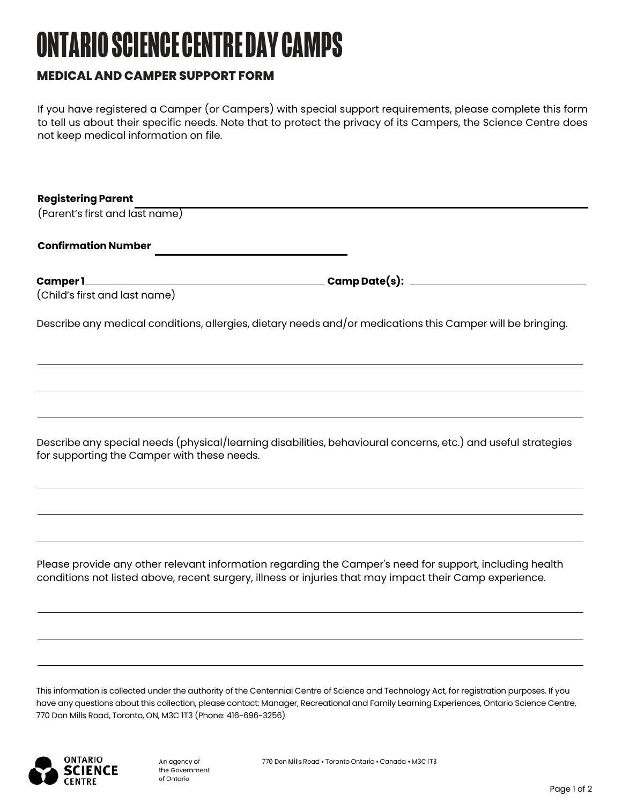# **ONTARIO SCIENCE CENTRE DAY CAMPS**

### **MEDICAL AND CAMPER SUPPORT FORM**

If you have registered a Camper (or Campers) with special support requirements, please complete this form to tell us about their specific needs. Note that to protect the privacy of its Campers, the Science Centre does not keep medical information on file.

| <b>Registering Parent</b>      |                                                                                                            |
|--------------------------------|------------------------------------------------------------------------------------------------------------|
| (Parent's first and last name) |                                                                                                            |
|                                |                                                                                                            |
| <b>Confirmation Number</b>     |                                                                                                            |
|                                |                                                                                                            |
|                                |                                                                                                            |
| (Child's first and last name)  |                                                                                                            |
|                                | Describe any medical conditions, allergies, dietary needs and/or medications this Camper will be bringing. |

Describe any special needs (physical/learning disabilities, behavioural concerns, etc.) and useful strategies for supporting the Camper with these needs.

Please provide any other relevant information regarding the Camper's need for support, including health conditions not listed above, recent surgery, illness or injuries that may impact their Camp experience.

This information is collected under the authority of the Centennial Centre of Science and Technology Act, for registration purposes. If you have any questions about this collection, please contact: Manager, Recreational and Family Learning Experiences, Ontario Science Centre, 770 Don Mills Road, Toronto, ON, M3C 1T3 (Phone: 416-696-3256)